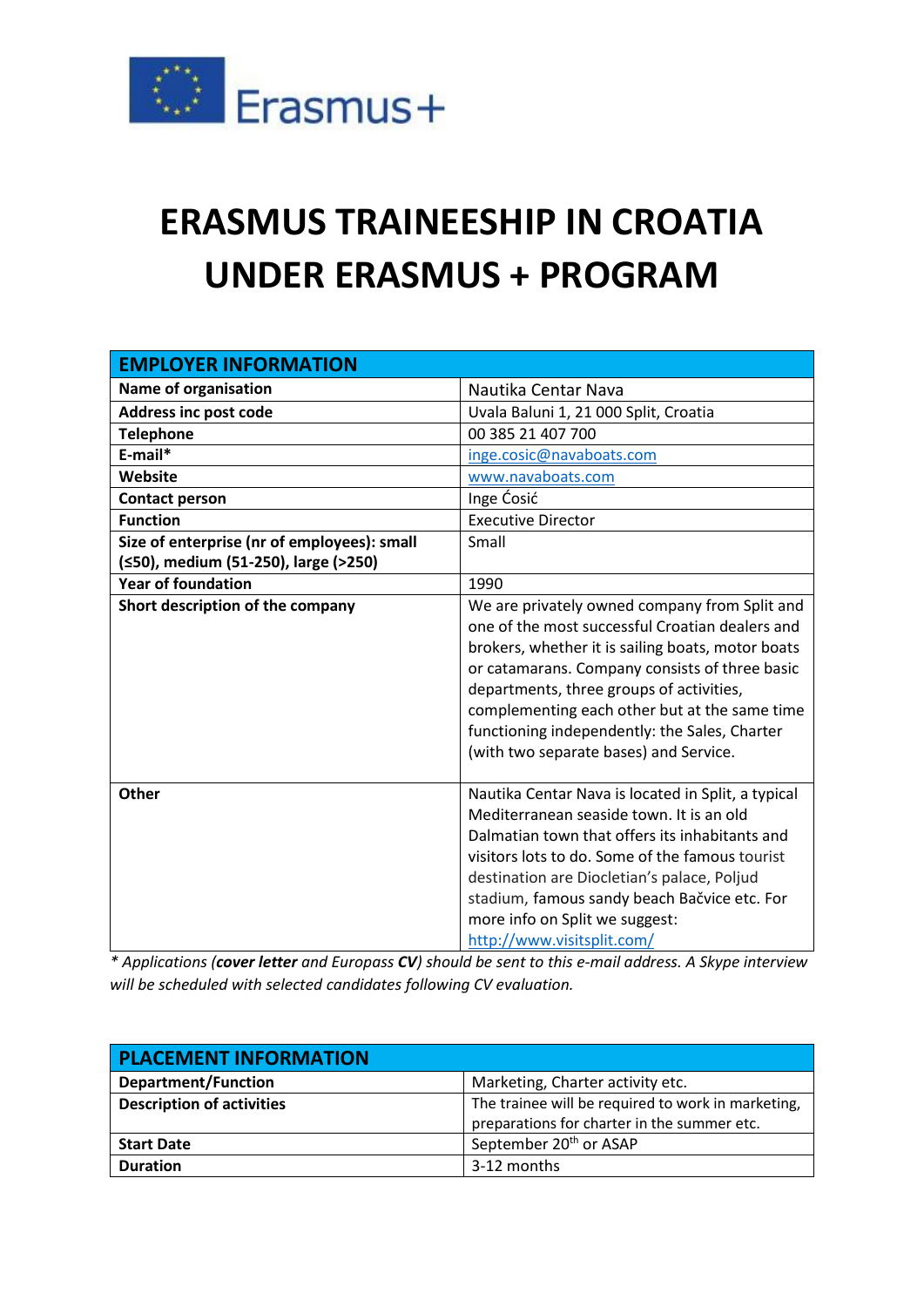

## **ERASMUS TRAINEESHIP IN CROATIA UNDER ERASMUS + PROGRAM**

| <b>EMPLOYER INFORMATION</b>                 |                                                                                                                                                                                                                                                                                                                                                                                                 |
|---------------------------------------------|-------------------------------------------------------------------------------------------------------------------------------------------------------------------------------------------------------------------------------------------------------------------------------------------------------------------------------------------------------------------------------------------------|
| Name of organisation                        | Nautika Centar Nava                                                                                                                                                                                                                                                                                                                                                                             |
| <b>Address inc post code</b>                | Uvala Baluni 1, 21 000 Split, Croatia                                                                                                                                                                                                                                                                                                                                                           |
| <b>Telephone</b>                            | 00 385 21 407 700                                                                                                                                                                                                                                                                                                                                                                               |
| E-mail*                                     | inge.cosic@navaboats.com                                                                                                                                                                                                                                                                                                                                                                        |
| Website                                     | www.navaboats.com                                                                                                                                                                                                                                                                                                                                                                               |
| <b>Contact person</b>                       | Inge Ćosić                                                                                                                                                                                                                                                                                                                                                                                      |
| <b>Function</b>                             | <b>Executive Director</b>                                                                                                                                                                                                                                                                                                                                                                       |
| Size of enterprise (nr of employees): small | Small                                                                                                                                                                                                                                                                                                                                                                                           |
| (≤50), medium (51-250), large (>250)        |                                                                                                                                                                                                                                                                                                                                                                                                 |
| <b>Year of foundation</b>                   | 1990                                                                                                                                                                                                                                                                                                                                                                                            |
| Short description of the company            | We are privately owned company from Split and<br>one of the most successful Croatian dealers and<br>brokers, whether it is sailing boats, motor boats<br>or catamarans. Company consists of three basic<br>departments, three groups of activities,<br>complementing each other but at the same time<br>functioning independently: the Sales, Charter<br>(with two separate bases) and Service. |
| Other                                       | Nautika Centar Nava is located in Split, a typical<br>Mediterranean seaside town. It is an old<br>Dalmatian town that offers its inhabitants and<br>visitors lots to do. Some of the famous tourist<br>destination are Diocletian's palace, Poljud<br>stadium, famous sandy beach Bačvice etc. For<br>more info on Split we suggest:<br>http://www.visitsplit.com/                              |

*\* Applications (cover letter and Europass CV) should be sent to this e-mail address. A Skype interview will be scheduled with selected candidates following CV evaluation.*

| <b>PLACEMENT INFORMATION</b>     |                                                                                                   |
|----------------------------------|---------------------------------------------------------------------------------------------------|
| <b>Department/Function</b>       | Marketing, Charter activity etc.                                                                  |
| <b>Description of activities</b> | The trainee will be required to work in marketing,<br>preparations for charter in the summer etc. |
| <b>Start Date</b>                | September 20 <sup>th</sup> or ASAP                                                                |
| <b>Duration</b>                  | 3-12 months                                                                                       |